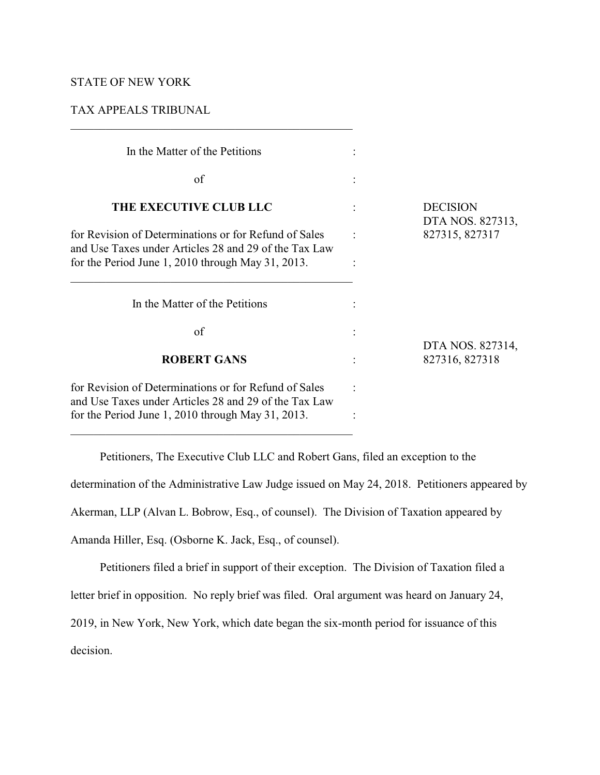# STATE OF NEW YORK

# TAX APPEALS TRIBUNAL

 $\mathcal{L}_\mathcal{L} = \{ \mathcal{L}_\mathcal{L} = \{ \mathcal{L}_\mathcal{L} = \{ \mathcal{L}_\mathcal{L} = \{ \mathcal{L}_\mathcal{L} = \{ \mathcal{L}_\mathcal{L} = \{ \mathcal{L}_\mathcal{L} = \{ \mathcal{L}_\mathcal{L} = \{ \mathcal{L}_\mathcal{L} = \{ \mathcal{L}_\mathcal{L} = \{ \mathcal{L}_\mathcal{L} = \{ \mathcal{L}_\mathcal{L} = \{ \mathcal{L}_\mathcal{L} = \{ \mathcal{L}_\mathcal{L} = \{ \mathcal{L}_\mathcal{$ 

| In the Matter of the Petitions                                                                                                                                      |                                     |
|---------------------------------------------------------------------------------------------------------------------------------------------------------------------|-------------------------------------|
| of                                                                                                                                                                  |                                     |
| <b>THE EXECUTIVE CLUB LLC</b>                                                                                                                                       | <b>DECISION</b><br>DTA NOS. 827313, |
| for Revision of Determinations or for Refund of Sales<br>and Use Taxes under Articles 28 and 29 of the Tax Law<br>for the Period June 1, 2010 through May 31, 2013. | 827315, 827317                      |
| In the Matter of the Petitions                                                                                                                                      |                                     |
| of                                                                                                                                                                  | DTA NOS. 827314,                    |
| <b>ROBERT GANS</b>                                                                                                                                                  | 827316, 827318                      |
| for Revision of Determinations or for Refund of Sales<br>and Use Taxes under Articles 28 and 29 of the Tax Law<br>for the Period June 1, 2010 through May 31, 2013. |                                     |

Petitioners, The Executive Club LLC and Robert Gans, filed an exception to the determination of the Administrative Law Judge issued on May 24, 2018. Petitioners appeared by Akerman, LLP (Alvan L. Bobrow, Esq., of counsel). The Division of Taxation appeared by

Amanda Hiller, Esq. (Osborne K. Jack, Esq., of counsel).

Petitioners filed a brief in support of their exception. The Division of Taxation filed a letter brief in opposition. No reply brief was filed. Oral argument was heard on January 24, 2019, in New York, New York, which date began the six-month period for issuance of this decision.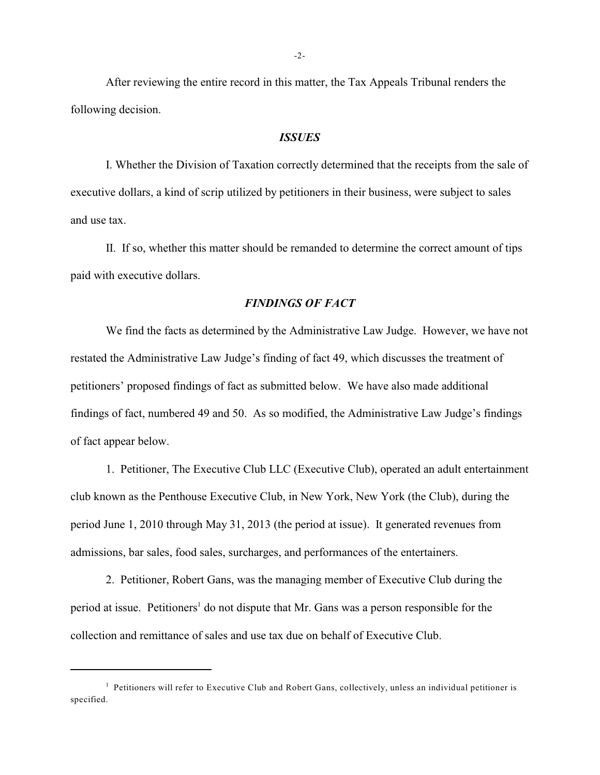After reviewing the entire record in this matter, the Tax Appeals Tribunal renders the following decision.

#### *ISSUES*

I. Whether the Division of Taxation correctly determined that the receipts from the sale of executive dollars, a kind of scrip utilized by petitioners in their business, were subject to sales and use tax.

II. If so, whether this matter should be remanded to determine the correct amount of tips paid with executive dollars.

## *FINDINGS OF FACT*

We find the facts as determined by the Administrative Law Judge. However, we have not restated the Administrative Law Judge's finding of fact 49, which discusses the treatment of petitioners' proposed findings of fact as submitted below. We have also made additional findings of fact, numbered 49 and 50. As so modified, the Administrative Law Judge's findings of fact appear below.

1. Petitioner, The Executive Club LLC (Executive Club), operated an adult entertainment club known as the Penthouse Executive Club, in New York, New York (the Club), during the period June 1, 2010 through May 31, 2013 (the period at issue). It generated revenues from admissions, bar sales, food sales, surcharges, and performances of the entertainers.

2. Petitioner, Robert Gans, was the managing member of Executive Club during the period at issue. Petitioners<sup>1</sup> do not dispute that Mr. Gans was a person responsible for the collection and remittance of sales and use tax due on behalf of Executive Club.

<sup>&</sup>lt;sup>1</sup> Petitioners will refer to Executive Club and Robert Gans, collectively, unless an individual petitioner is specified.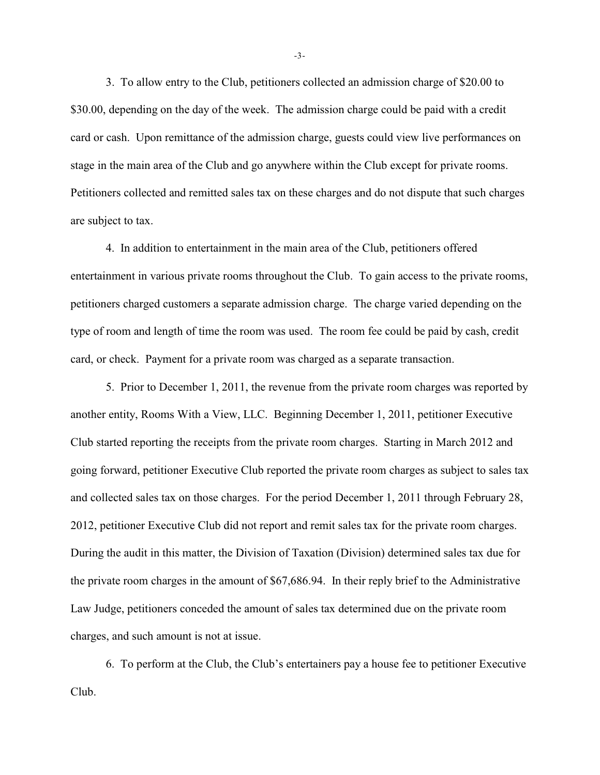3. To allow entry to the Club, petitioners collected an admission charge of \$20.00 to \$30.00, depending on the day of the week. The admission charge could be paid with a credit card or cash. Upon remittance of the admission charge, guests could view live performances on stage in the main area of the Club and go anywhere within the Club except for private rooms. Petitioners collected and remitted sales tax on these charges and do not dispute that such charges are subject to tax.

4. In addition to entertainment in the main area of the Club, petitioners offered entertainment in various private rooms throughout the Club. To gain access to the private rooms, petitioners charged customers a separate admission charge. The charge varied depending on the type of room and length of time the room was used. The room fee could be paid by cash, credit card, or check. Payment for a private room was charged as a separate transaction.

5. Prior to December 1, 2011, the revenue from the private room charges was reported by another entity, Rooms With a View, LLC. Beginning December 1, 2011, petitioner Executive Club started reporting the receipts from the private room charges. Starting in March 2012 and going forward, petitioner Executive Club reported the private room charges as subject to sales tax and collected sales tax on those charges. For the period December 1, 2011 through February 28, 2012, petitioner Executive Club did not report and remit sales tax for the private room charges. During the audit in this matter, the Division of Taxation (Division) determined sales tax due for the private room charges in the amount of \$67,686.94. In their reply brief to the Administrative Law Judge, petitioners conceded the amount of sales tax determined due on the private room charges, and such amount is not at issue.

6. To perform at the Club, the Club's entertainers pay a house fee to petitioner Executive Club.

-3-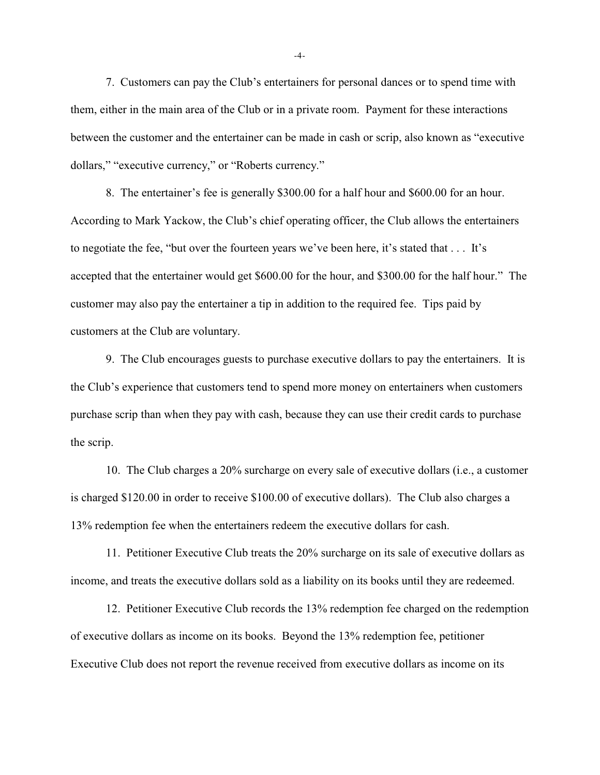7. Customers can pay the Club's entertainers for personal dances or to spend time with them, either in the main area of the Club or in a private room. Payment for these interactions between the customer and the entertainer can be made in cash or scrip, also known as "executive dollars," "executive currency," or "Roberts currency."

8. The entertainer's fee is generally \$300.00 for a half hour and \$600.00 for an hour. According to Mark Yackow, the Club's chief operating officer, the Club allows the entertainers to negotiate the fee, "but over the fourteen years we've been here, it's stated that . . . It's accepted that the entertainer would get \$600.00 for the hour, and \$300.00 for the half hour." The customer may also pay the entertainer a tip in addition to the required fee. Tips paid by customers at the Club are voluntary.

9. The Club encourages guests to purchase executive dollars to pay the entertainers. It is the Club's experience that customers tend to spend more money on entertainers when customers purchase scrip than when they pay with cash, because they can use their credit cards to purchase the scrip.

10. The Club charges a 20% surcharge on every sale of executive dollars (i.e., a customer is charged \$120.00 in order to receive \$100.00 of executive dollars). The Club also charges a 13% redemption fee when the entertainers redeem the executive dollars for cash.

11. Petitioner Executive Club treats the 20% surcharge on its sale of executive dollars as income, and treats the executive dollars sold as a liability on its books until they are redeemed.

12. Petitioner Executive Club records the 13% redemption fee charged on the redemption of executive dollars as income on its books. Beyond the 13% redemption fee, petitioner Executive Club does not report the revenue received from executive dollars as income on its

-4-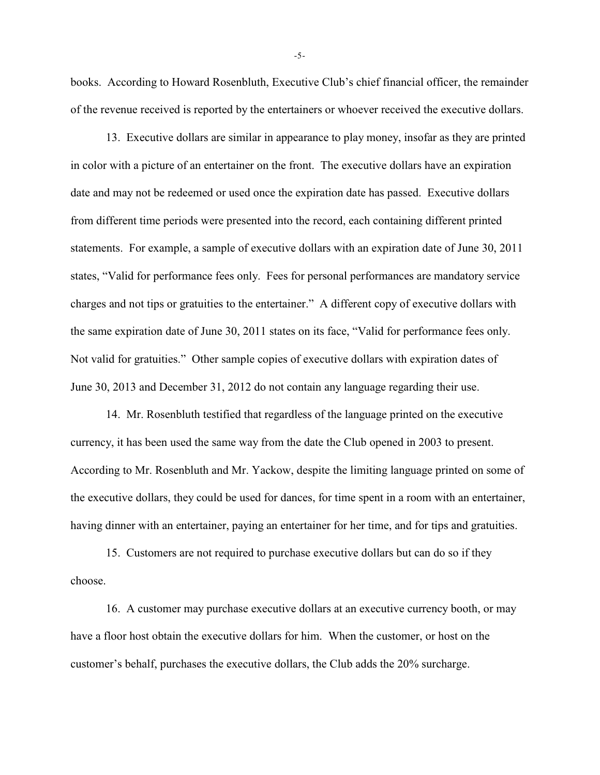books. According to Howard Rosenbluth, Executive Club's chief financial officer, the remainder of the revenue received is reported by the entertainers or whoever received the executive dollars.

13. Executive dollars are similar in appearance to play money, insofar as they are printed in color with a picture of an entertainer on the front. The executive dollars have an expiration date and may not be redeemed or used once the expiration date has passed. Executive dollars from different time periods were presented into the record, each containing different printed statements. For example, a sample of executive dollars with an expiration date of June 30, 2011 states, "Valid for performance fees only. Fees for personal performances are mandatory service charges and not tips or gratuities to the entertainer." A different copy of executive dollars with the same expiration date of June 30, 2011 states on its face, "Valid for performance fees only. Not valid for gratuities." Other sample copies of executive dollars with expiration dates of June 30, 2013 and December 31, 2012 do not contain any language regarding their use.

14. Mr. Rosenbluth testified that regardless of the language printed on the executive currency, it has been used the same way from the date the Club opened in 2003 to present. According to Mr. Rosenbluth and Mr. Yackow, despite the limiting language printed on some of the executive dollars, they could be used for dances, for time spent in a room with an entertainer, having dinner with an entertainer, paying an entertainer for her time, and for tips and gratuities.

15. Customers are not required to purchase executive dollars but can do so if they choose.

16. A customer may purchase executive dollars at an executive currency booth, or may have a floor host obtain the executive dollars for him. When the customer, or host on the customer's behalf, purchases the executive dollars, the Club adds the 20% surcharge.

-5-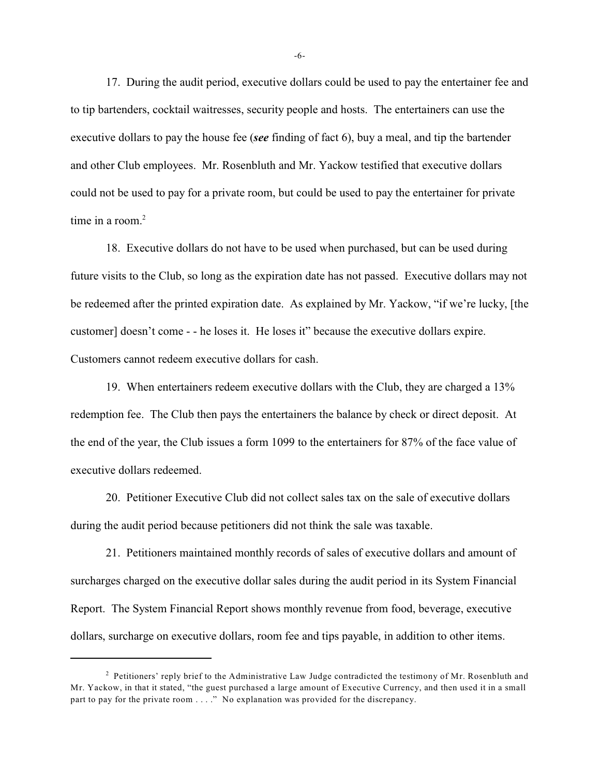17. During the audit period, executive dollars could be used to pay the entertainer fee and to tip bartenders, cocktail waitresses, security people and hosts. The entertainers can use the executive dollars to pay the house fee (*see* finding of fact 6), buy a meal, and tip the bartender and other Club employees. Mr. Rosenbluth and Mr. Yackow testified that executive dollars could not be used to pay for a private room, but could be used to pay the entertainer for private time in a room. $2$ 

18. Executive dollars do not have to be used when purchased, but can be used during future visits to the Club, so long as the expiration date has not passed. Executive dollars may not be redeemed after the printed expiration date. As explained by Mr. Yackow, "if we're lucky, [the customer] doesn't come - - he loses it. He loses it" because the executive dollars expire. Customers cannot redeem executive dollars for cash.

19. When entertainers redeem executive dollars with the Club, they are charged a 13% redemption fee. The Club then pays the entertainers the balance by check or direct deposit. At the end of the year, the Club issues a form 1099 to the entertainers for 87% of the face value of executive dollars redeemed.

20. Petitioner Executive Club did not collect sales tax on the sale of executive dollars during the audit period because petitioners did not think the sale was taxable.

21. Petitioners maintained monthly records of sales of executive dollars and amount of surcharges charged on the executive dollar sales during the audit period in its System Financial Report. The System Financial Report shows monthly revenue from food, beverage, executive dollars, surcharge on executive dollars, room fee and tips payable, in addition to other items.

-6-

<sup>&</sup>lt;sup>2</sup> Petitioners' reply brief to the Administrative Law Judge contradicted the testimony of Mr. Rosenbluth and Mr. Yackow, in that it stated, "the guest purchased a large amount of Executive Currency, and then used it in a small part to pay for the private room . . . ." No explanation was provided for the discrepancy.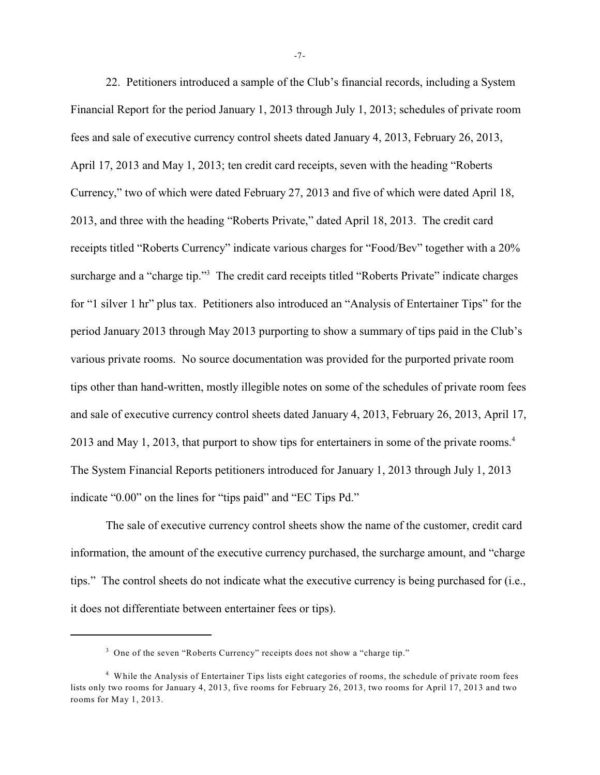22. Petitioners introduced a sample of the Club's financial records, including a System Financial Report for the period January 1, 2013 through July 1, 2013; schedules of private room fees and sale of executive currency control sheets dated January 4, 2013, February 26, 2013, April 17, 2013 and May 1, 2013; ten credit card receipts, seven with the heading "Roberts Currency," two of which were dated February 27, 2013 and five of which were dated April 18, 2013, and three with the heading "Roberts Private," dated April 18, 2013. The credit card receipts titled "Roberts Currency" indicate various charges for "Food/Bev" together with a 20% surcharge and a "charge tip."<sup>3</sup> The credit card receipts titled "Roberts Private" indicate charges for "1 silver 1 hr" plus tax. Petitioners also introduced an "Analysis of Entertainer Tips" for the period January 2013 through May 2013 purporting to show a summary of tips paid in the Club's various private rooms. No source documentation was provided for the purported private room tips other than hand-written, mostly illegible notes on some of the schedules of private room fees and sale of executive currency control sheets dated January 4, 2013, February 26, 2013, April 17, 2013 and May 1, 2013, that purport to show tips for entertainers in some of the private rooms. 4 The System Financial Reports petitioners introduced for January 1, 2013 through July 1, 2013 indicate "0.00" on the lines for "tips paid" and "EC Tips Pd."

The sale of executive currency control sheets show the name of the customer, credit card information, the amount of the executive currency purchased, the surcharge amount, and "charge tips." The control sheets do not indicate what the executive currency is being purchased for (i.e., it does not differentiate between entertainer fees or tips).

-7-

<sup>&</sup>lt;sup>3</sup> One of the seven "Roberts Currency" receipts does not show a "charge tip."

<sup>&</sup>lt;sup>4</sup> While the Analysis of Entertainer Tips lists eight categories of rooms, the schedule of private room fees lists only two rooms for January 4, 2013, five rooms for February 26, 2013, two rooms for April 17, 2013 and two rooms for May 1, 2013.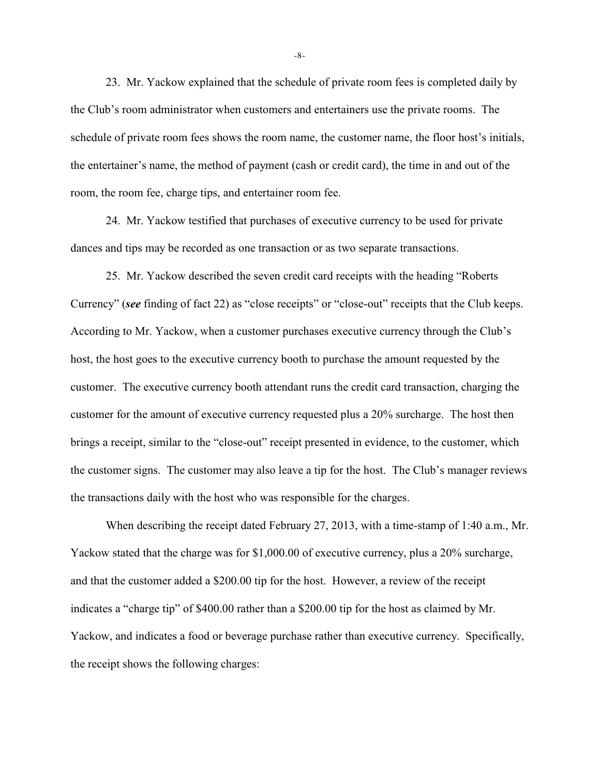23. Mr. Yackow explained that the schedule of private room fees is completed daily by the Club's room administrator when customers and entertainers use the private rooms. The schedule of private room fees shows the room name, the customer name, the floor host's initials, the entertainer's name, the method of payment (cash or credit card), the time in and out of the room, the room fee, charge tips, and entertainer room fee.

24. Mr. Yackow testified that purchases of executive currency to be used for private dances and tips may be recorded as one transaction or as two separate transactions.

25. Mr. Yackow described the seven credit card receipts with the heading "Roberts Currency" (*see* finding of fact 22) as "close receipts" or "close-out" receipts that the Club keeps. According to Mr. Yackow, when a customer purchases executive currency through the Club's host, the host goes to the executive currency booth to purchase the amount requested by the customer. The executive currency booth attendant runs the credit card transaction, charging the customer for the amount of executive currency requested plus a 20% surcharge. The host then brings a receipt, similar to the "close-out" receipt presented in evidence, to the customer, which the customer signs. The customer may also leave a tip for the host. The Club's manager reviews the transactions daily with the host who was responsible for the charges.

When describing the receipt dated February 27, 2013, with a time-stamp of 1:40 a.m., Mr. Yackow stated that the charge was for \$1,000.00 of executive currency, plus a 20% surcharge, and that the customer added a \$200.00 tip for the host. However, a review of the receipt indicates a "charge tip" of \$400.00 rather than a \$200.00 tip for the host as claimed by Mr. Yackow, and indicates a food or beverage purchase rather than executive currency. Specifically, the receipt shows the following charges:

-8-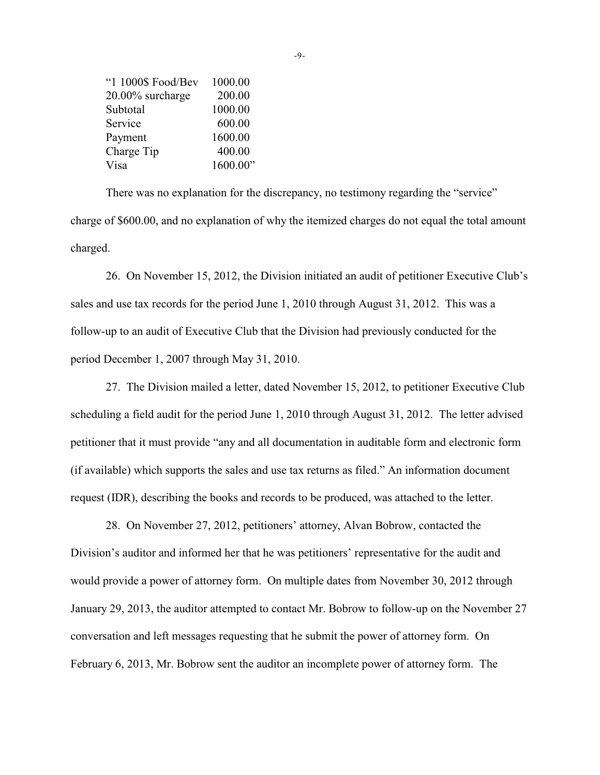| "1 1000\$ Food/Bev | 1000.00  |
|--------------------|----------|
| 20.00% surcharge   | 200.00   |
| Subtotal           | 1000.00  |
| Service            | 600.00   |
| Payment            | 1600.00  |
| Charge Tip         | 400.00   |
| Visa               | 1600.00" |

There was no explanation for the discrepancy, no testimony regarding the "service" charge of \$600.00, and no explanation of why the itemized charges do not equal the total amount charged.

26. On November 15, 2012, the Division initiated an audit of petitioner Executive Club's sales and use tax records for the period June 1, 2010 through August 31, 2012. This was a follow-up to an audit of Executive Club that the Division had previously conducted for the period December 1, 2007 through May 31, 2010.

27. The Division mailed a letter, dated November 15, 2012, to petitioner Executive Club scheduling a field audit for the period June 1, 2010 through August 31, 2012. The letter advised petitioner that it must provide "any and all documentation in auditable form and electronic form (if available) which supports the sales and use tax returns as filed." An information document request (IDR), describing the books and records to be produced, was attached to the letter.

28. On November 27, 2012, petitioners' attorney, Alvan Bobrow, contacted the Division's auditor and informed her that he was petitioners' representative for the audit and would provide a power of attorney form. On multiple dates from November 30, 2012 through January 29, 2013, the auditor attempted to contact Mr. Bobrow to follow-up on the November 27 conversation and left messages requesting that he submit the power of attorney form. On February 6, 2013, Mr. Bobrow sent the auditor an incomplete power of attorney form. The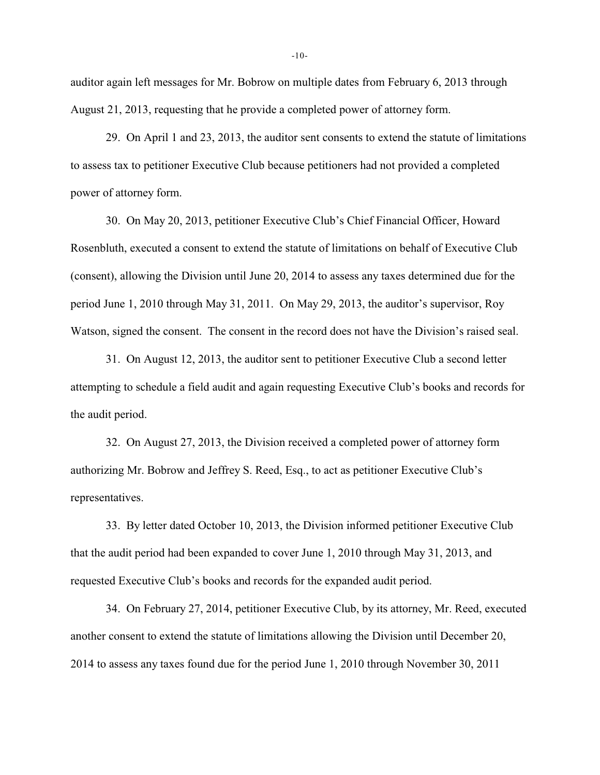auditor again left messages for Mr. Bobrow on multiple dates from February 6, 2013 through August 21, 2013, requesting that he provide a completed power of attorney form.

29. On April 1 and 23, 2013, the auditor sent consents to extend the statute of limitations to assess tax to petitioner Executive Club because petitioners had not provided a completed power of attorney form.

30. On May 20, 2013, petitioner Executive Club's Chief Financial Officer, Howard Rosenbluth, executed a consent to extend the statute of limitations on behalf of Executive Club (consent), allowing the Division until June 20, 2014 to assess any taxes determined due for the period June 1, 2010 through May 31, 2011. On May 29, 2013, the auditor's supervisor, Roy Watson, signed the consent. The consent in the record does not have the Division's raised seal.

31. On August 12, 2013, the auditor sent to petitioner Executive Club a second letter attempting to schedule a field audit and again requesting Executive Club's books and records for the audit period.

32. On August 27, 2013, the Division received a completed power of attorney form authorizing Mr. Bobrow and Jeffrey S. Reed, Esq., to act as petitioner Executive Club's representatives.

33. By letter dated October 10, 2013, the Division informed petitioner Executive Club that the audit period had been expanded to cover June 1, 2010 through May 31, 2013, and requested Executive Club's books and records for the expanded audit period.

34. On February 27, 2014, petitioner Executive Club, by its attorney, Mr. Reed, executed another consent to extend the statute of limitations allowing the Division until December 20, 2014 to assess any taxes found due for the period June 1, 2010 through November 30, 2011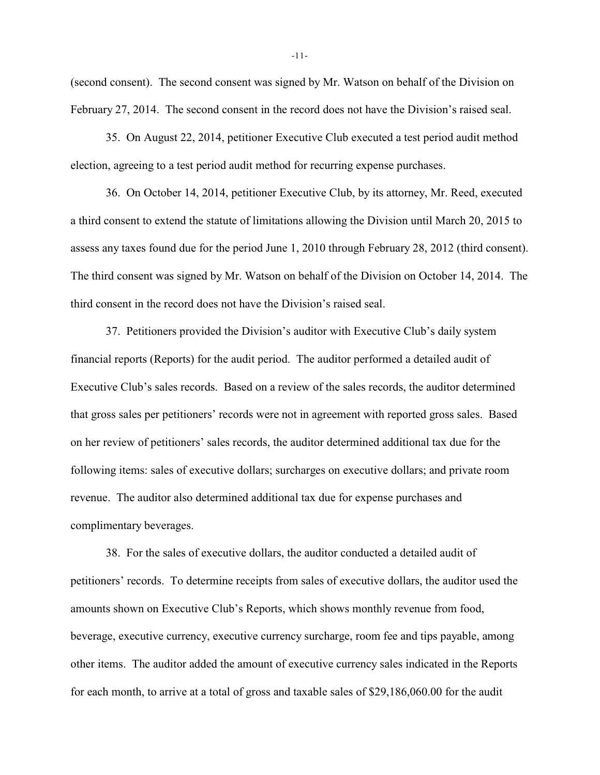(second consent). The second consent was signed by Mr. Watson on behalf of the Division on February 27, 2014. The second consent in the record does not have the Division's raised seal.

35. On August 22, 2014, petitioner Executive Club executed a test period audit method election, agreeing to a test period audit method for recurring expense purchases.

36. On October 14, 2014, petitioner Executive Club, by its attorney, Mr. Reed, executed a third consent to extend the statute of limitations allowing the Division until March 20, 2015 to assess any taxes found due for the period June 1, 2010 through February 28, 2012 (third consent). The third consent was signed by Mr. Watson on behalf of the Division on October 14, 2014. The third consent in the record does not have the Division's raised seal.

37. Petitioners provided the Division's auditor with Executive Club's daily system financial reports (Reports) for the audit period. The auditor performed a detailed audit of Executive Club's sales records. Based on a review of the sales records, the auditor determined that gross sales per petitioners' records were not in agreement with reported gross sales. Based on her review of petitioners' sales records, the auditor determined additional tax due for the following items: sales of executive dollars; surcharges on executive dollars; and private room revenue. The auditor also determined additional tax due for expense purchases and complimentary beverages.

38. For the sales of executive dollars, the auditor conducted a detailed audit of petitioners' records. To determine receipts from sales of executive dollars, the auditor used the amounts shown on Executive Club's Reports, which shows monthly revenue from food, beverage, executive currency, executive currency surcharge, room fee and tips payable, among other items. The auditor added the amount of executive currency sales indicated in the Reports for each month, to arrive at a total of gross and taxable sales of \$29,186,060.00 for the audit

-11-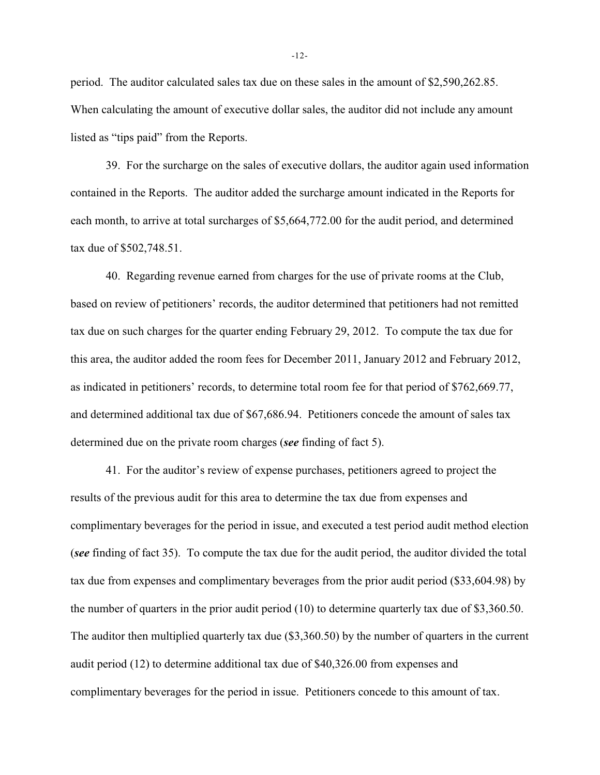period. The auditor calculated sales tax due on these sales in the amount of \$2,590,262.85. When calculating the amount of executive dollar sales, the auditor did not include any amount listed as "tips paid" from the Reports.

39. For the surcharge on the sales of executive dollars, the auditor again used information contained in the Reports. The auditor added the surcharge amount indicated in the Reports for each month, to arrive at total surcharges of \$5,664,772.00 for the audit period, and determined tax due of \$502,748.51.

40. Regarding revenue earned from charges for the use of private rooms at the Club, based on review of petitioners' records, the auditor determined that petitioners had not remitted tax due on such charges for the quarter ending February 29, 2012. To compute the tax due for this area, the auditor added the room fees for December 2011, January 2012 and February 2012, as indicated in petitioners' records, to determine total room fee for that period of \$762,669.77, and determined additional tax due of \$67,686.94. Petitioners concede the amount of sales tax determined due on the private room charges (*see* finding of fact 5).

41. For the auditor's review of expense purchases, petitioners agreed to project the results of the previous audit for this area to determine the tax due from expenses and complimentary beverages for the period in issue, and executed a test period audit method election (*see* finding of fact 35). To compute the tax due for the audit period, the auditor divided the total tax due from expenses and complimentary beverages from the prior audit period (\$33,604.98) by the number of quarters in the prior audit period (10) to determine quarterly tax due of \$3,360.50. The auditor then multiplied quarterly tax due (\$3,360.50) by the number of quarters in the current audit period (12) to determine additional tax due of \$40,326.00 from expenses and complimentary beverages for the period in issue. Petitioners concede to this amount of tax.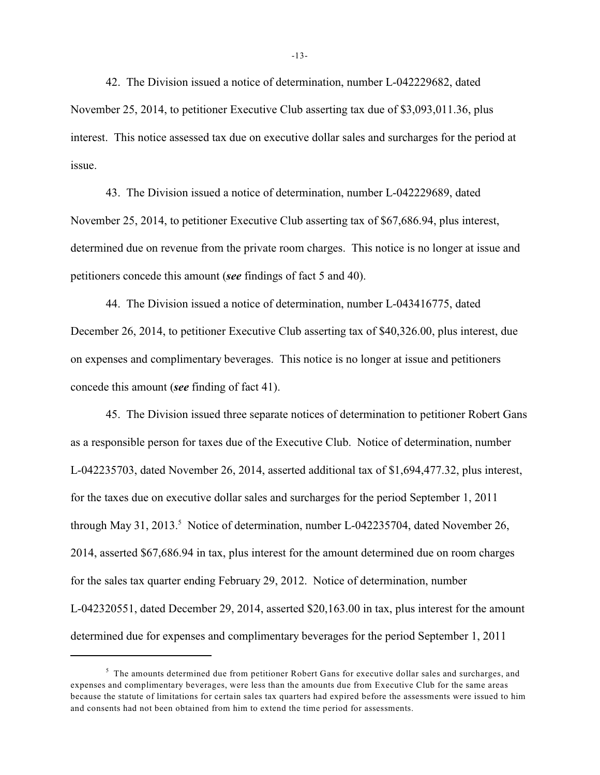42. The Division issued a notice of determination, number L-042229682, dated November 25, 2014, to petitioner Executive Club asserting tax due of \$3,093,011.36, plus interest. This notice assessed tax due on executive dollar sales and surcharges for the period at issue.

43. The Division issued a notice of determination, number L-042229689, dated November 25, 2014, to petitioner Executive Club asserting tax of \$67,686.94, plus interest, determined due on revenue from the private room charges. This notice is no longer at issue and petitioners concede this amount (*see* findings of fact 5 and 40).

44. The Division issued a notice of determination, number L-043416775, dated December 26, 2014, to petitioner Executive Club asserting tax of \$40,326.00, plus interest, due on expenses and complimentary beverages. This notice is no longer at issue and petitioners concede this amount (*see* finding of fact 41).

45. The Division issued three separate notices of determination to petitioner Robert Gans as a responsible person for taxes due of the Executive Club. Notice of determination, number L-042235703, dated November 26, 2014, asserted additional tax of \$1,694,477.32, plus interest, for the taxes due on executive dollar sales and surcharges for the period September 1, 2011 through May 31, 2013.<sup>5</sup> Notice of determination, number L-042235704, dated November 26, 2014, asserted \$67,686.94 in tax, plus interest for the amount determined due on room charges for the sales tax quarter ending February 29, 2012. Notice of determination, number L-042320551, dated December 29, 2014, asserted \$20,163.00 in tax, plus interest for the amount determined due for expenses and complimentary beverages for the period September 1, 2011

<sup>&</sup>lt;sup>5</sup> The amounts determined due from petitioner Robert Gans for executive dollar sales and surcharges, and expenses and complimentary beverages, were less than the amounts due from Executive Club for the same areas because the statute of limitations for certain sales tax quarters had expired before the assessments were issued to him and consents had not been obtained from him to extend the time period for assessments.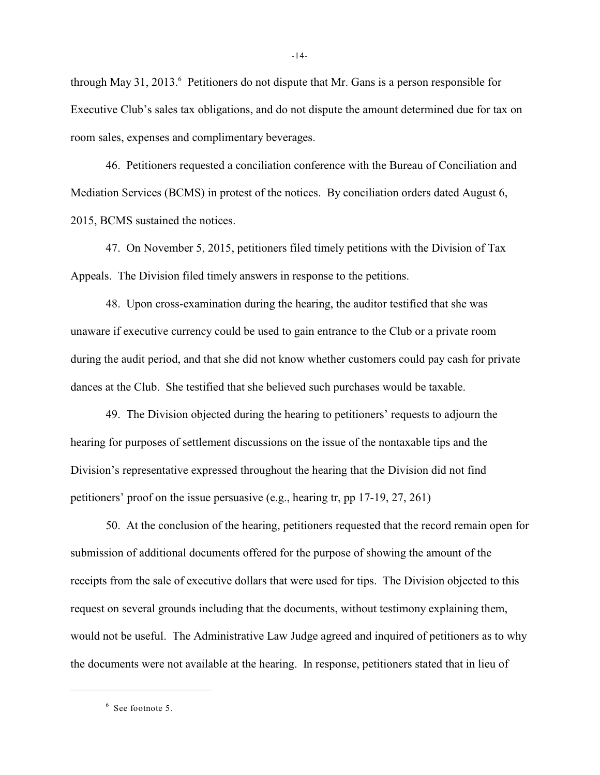through May 31, 2013. Petitioners do not dispute that Mr. Gans is a person responsible for Executive Club's sales tax obligations, and do not dispute the amount determined due for tax on room sales, expenses and complimentary beverages.

46. Petitioners requested a conciliation conference with the Bureau of Conciliation and Mediation Services (BCMS) in protest of the notices. By conciliation orders dated August 6, 2015, BCMS sustained the notices.

47. On November 5, 2015, petitioners filed timely petitions with the Division of Tax Appeals. The Division filed timely answers in response to the petitions.

48. Upon cross-examination during the hearing, the auditor testified that she was unaware if executive currency could be used to gain entrance to the Club or a private room during the audit period, and that she did not know whether customers could pay cash for private dances at the Club. She testified that she believed such purchases would be taxable.

49. The Division objected during the hearing to petitioners' requests to adjourn the hearing for purposes of settlement discussions on the issue of the nontaxable tips and the Division's representative expressed throughout the hearing that the Division did not find petitioners' proof on the issue persuasive (e.g., hearing tr, pp 17-19, 27, 261)

50. At the conclusion of the hearing, petitioners requested that the record remain open for submission of additional documents offered for the purpose of showing the amount of the receipts from the sale of executive dollars that were used for tips. The Division objected to this request on several grounds including that the documents, without testimony explaining them, would not be useful. The Administrative Law Judge agreed and inquired of petitioners as to why the documents were not available at the hearing. In response, petitioners stated that in lieu of

 $6$  See footnote 5.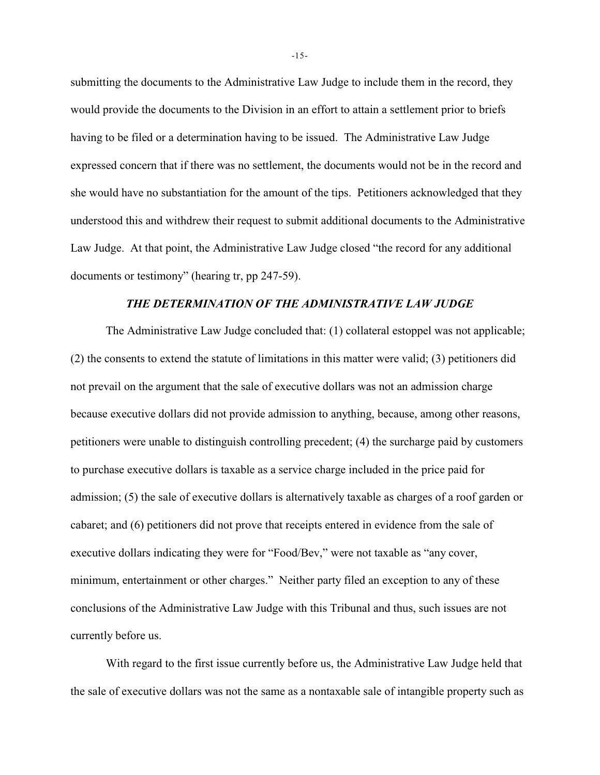submitting the documents to the Administrative Law Judge to include them in the record, they would provide the documents to the Division in an effort to attain a settlement prior to briefs having to be filed or a determination having to be issued. The Administrative Law Judge expressed concern that if there was no settlement, the documents would not be in the record and she would have no substantiation for the amount of the tips. Petitioners acknowledged that they understood this and withdrew their request to submit additional documents to the Administrative Law Judge. At that point, the Administrative Law Judge closed "the record for any additional documents or testimony" (hearing tr, pp 247-59).

# *THE DETERMINATION OF THE ADMINISTRATIVE LAW JUDGE*

The Administrative Law Judge concluded that: (1) collateral estoppel was not applicable; (2) the consents to extend the statute of limitations in this matter were valid; (3) petitioners did not prevail on the argument that the sale of executive dollars was not an admission charge because executive dollars did not provide admission to anything, because, among other reasons, petitioners were unable to distinguish controlling precedent; (4) the surcharge paid by customers to purchase executive dollars is taxable as a service charge included in the price paid for admission; (5) the sale of executive dollars is alternatively taxable as charges of a roof garden or cabaret; and (6) petitioners did not prove that receipts entered in evidence from the sale of executive dollars indicating they were for "Food/Bev," were not taxable as "any cover, minimum, entertainment or other charges." Neither party filed an exception to any of these conclusions of the Administrative Law Judge with this Tribunal and thus, such issues are not currently before us.

With regard to the first issue currently before us, the Administrative Law Judge held that the sale of executive dollars was not the same as a nontaxable sale of intangible property such as

-15-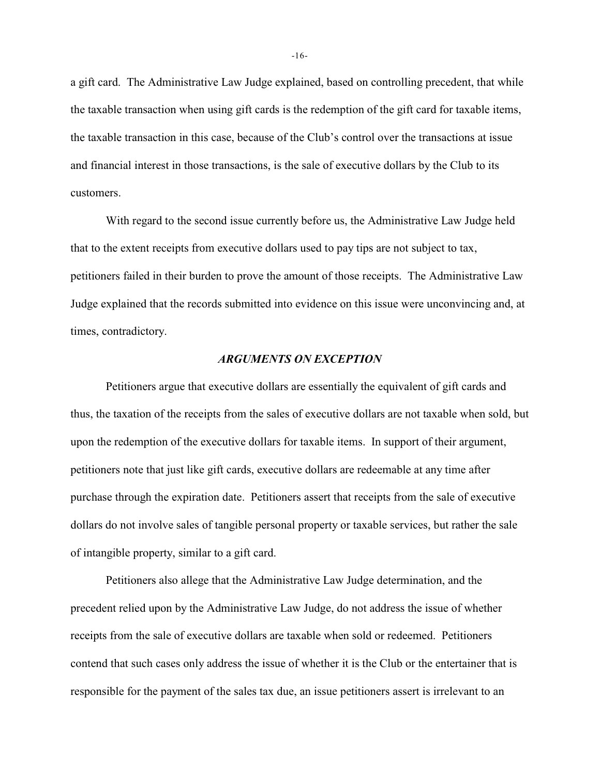a gift card. The Administrative Law Judge explained, based on controlling precedent, that while the taxable transaction when using gift cards is the redemption of the gift card for taxable items, the taxable transaction in this case, because of the Club's control over the transactions at issue and financial interest in those transactions, is the sale of executive dollars by the Club to its customers.

With regard to the second issue currently before us, the Administrative Law Judge held that to the extent receipts from executive dollars used to pay tips are not subject to tax, petitioners failed in their burden to prove the amount of those receipts. The Administrative Law Judge explained that the records submitted into evidence on this issue were unconvincing and, at times, contradictory.

#### *ARGUMENTS ON EXCEPTION*

Petitioners argue that executive dollars are essentially the equivalent of gift cards and thus, the taxation of the receipts from the sales of executive dollars are not taxable when sold, but upon the redemption of the executive dollars for taxable items. In support of their argument, petitioners note that just like gift cards, executive dollars are redeemable at any time after purchase through the expiration date. Petitioners assert that receipts from the sale of executive dollars do not involve sales of tangible personal property or taxable services, but rather the sale of intangible property, similar to a gift card.

Petitioners also allege that the Administrative Law Judge determination, and the precedent relied upon by the Administrative Law Judge, do not address the issue of whether receipts from the sale of executive dollars are taxable when sold or redeemed. Petitioners contend that such cases only address the issue of whether it is the Club or the entertainer that is responsible for the payment of the sales tax due, an issue petitioners assert is irrelevant to an

-16-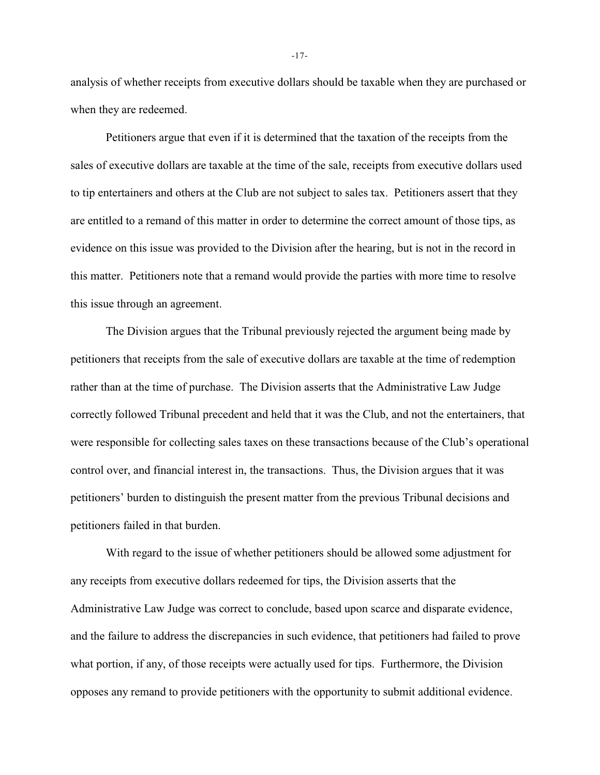analysis of whether receipts from executive dollars should be taxable when they are purchased or when they are redeemed.

Petitioners argue that even if it is determined that the taxation of the receipts from the sales of executive dollars are taxable at the time of the sale, receipts from executive dollars used to tip entertainers and others at the Club are not subject to sales tax. Petitioners assert that they are entitled to a remand of this matter in order to determine the correct amount of those tips, as evidence on this issue was provided to the Division after the hearing, but is not in the record in this matter. Petitioners note that a remand would provide the parties with more time to resolve this issue through an agreement.

The Division argues that the Tribunal previously rejected the argument being made by petitioners that receipts from the sale of executive dollars are taxable at the time of redemption rather than at the time of purchase. The Division asserts that the Administrative Law Judge correctly followed Tribunal precedent and held that it was the Club, and not the entertainers, that were responsible for collecting sales taxes on these transactions because of the Club's operational control over, and financial interest in, the transactions. Thus, the Division argues that it was petitioners' burden to distinguish the present matter from the previous Tribunal decisions and petitioners failed in that burden.

With regard to the issue of whether petitioners should be allowed some adjustment for any receipts from executive dollars redeemed for tips, the Division asserts that the Administrative Law Judge was correct to conclude, based upon scarce and disparate evidence, and the failure to address the discrepancies in such evidence, that petitioners had failed to prove what portion, if any, of those receipts were actually used for tips. Furthermore, the Division opposes any remand to provide petitioners with the opportunity to submit additional evidence.

-17-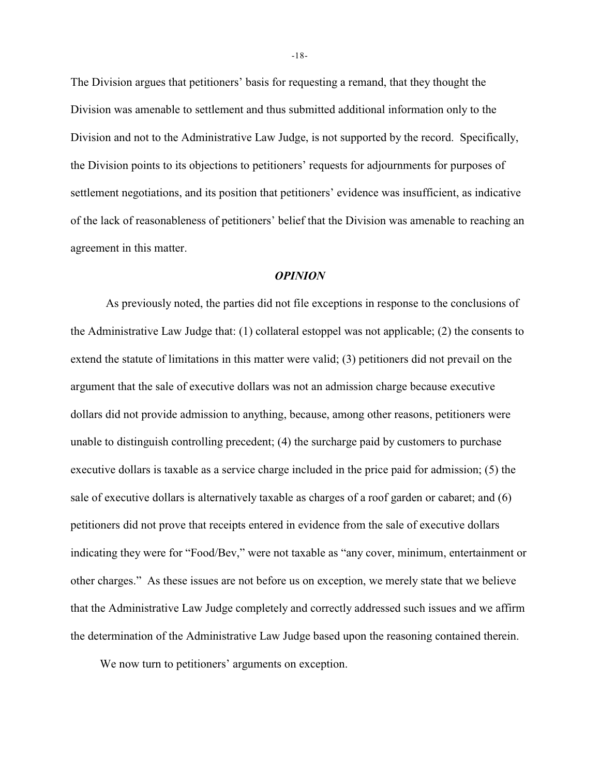The Division argues that petitioners' basis for requesting a remand, that they thought the Division was amenable to settlement and thus submitted additional information only to the Division and not to the Administrative Law Judge, is not supported by the record. Specifically, the Division points to its objections to petitioners' requests for adjournments for purposes of settlement negotiations, and its position that petitioners' evidence was insufficient, as indicative of the lack of reasonableness of petitioners' belief that the Division was amenable to reaching an agreement in this matter.

### *OPINION*

As previously noted, the parties did not file exceptions in response to the conclusions of the Administrative Law Judge that: (1) collateral estoppel was not applicable; (2) the consents to extend the statute of limitations in this matter were valid; (3) petitioners did not prevail on the argument that the sale of executive dollars was not an admission charge because executive dollars did not provide admission to anything, because, among other reasons, petitioners were unable to distinguish controlling precedent; (4) the surcharge paid by customers to purchase executive dollars is taxable as a service charge included in the price paid for admission; (5) the sale of executive dollars is alternatively taxable as charges of a roof garden or cabaret; and (6) petitioners did not prove that receipts entered in evidence from the sale of executive dollars indicating they were for "Food/Bev," were not taxable as "any cover, minimum, entertainment or other charges." As these issues are not before us on exception, we merely state that we believe that the Administrative Law Judge completely and correctly addressed such issues and we affirm the determination of the Administrative Law Judge based upon the reasoning contained therein.

We now turn to petitioners' arguments on exception.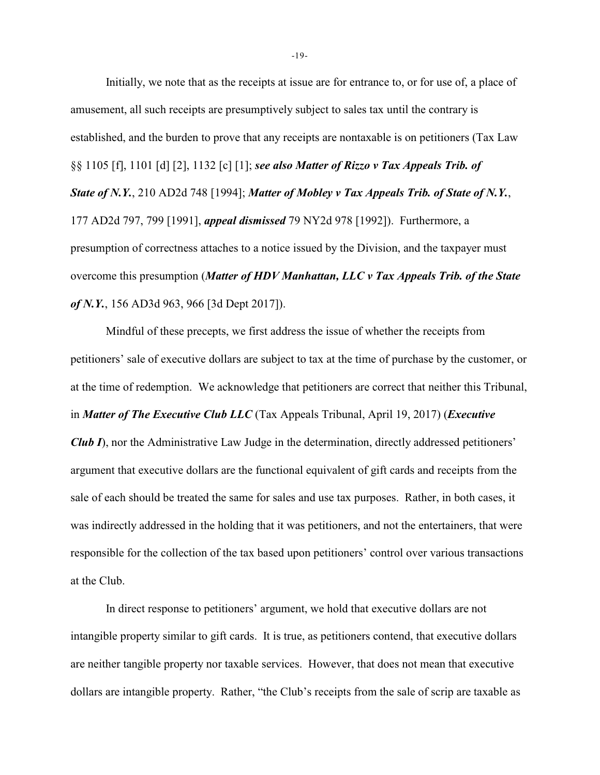Initially, we note that as the receipts at issue are for entrance to, or for use of, a place of amusement, all such receipts are presumptively subject to sales tax until the contrary is established, and the burden to prove that any receipts are nontaxable is on petitioners (Tax Law §§ 1105 [f], 1101 [d] [2], 1132 [c] [1]; *see also Matter of Rizzo v Tax Appeals Trib. of State of N.Y.*, 210 AD2d 748 [1994]; *Matter of Mobley v Tax Appeals Trib. of State of N.Y.*, 177 AD2d 797, 799 [1991], *appeal dismissed* 79 NY2d 978 [1992]). Furthermore, a presumption of correctness attaches to a notice issued by the Division, and the taxpayer must overcome this presumption (*Matter of HDV Manhattan, LLC v Tax Appeals Trib. of the State of N.Y.*, 156 AD3d 963, 966 [3d Dept 2017]).

Mindful of these precepts, we first address the issue of whether the receipts from petitioners' sale of executive dollars are subject to tax at the time of purchase by the customer, or at the time of redemption. We acknowledge that petitioners are correct that neither this Tribunal, in *Matter of The Executive Club LLC* (Tax Appeals Tribunal, April 19, 2017) (*Executive Club I*), nor the Administrative Law Judge in the determination, directly addressed petitioners' argument that executive dollars are the functional equivalent of gift cards and receipts from the sale of each should be treated the same for sales and use tax purposes. Rather, in both cases, it was indirectly addressed in the holding that it was petitioners, and not the entertainers, that were responsible for the collection of the tax based upon petitioners' control over various transactions at the Club.

In direct response to petitioners' argument, we hold that executive dollars are not intangible property similar to gift cards. It is true, as petitioners contend, that executive dollars are neither tangible property nor taxable services. However, that does not mean that executive dollars are intangible property. Rather, "the Club's receipts from the sale of scrip are taxable as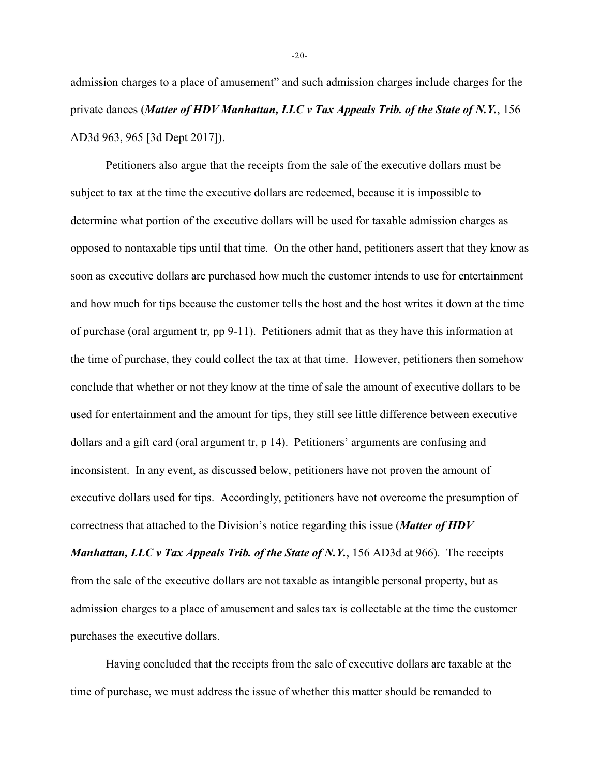admission charges to a place of amusement" and such admission charges include charges for the private dances (*Matter of HDV Manhattan, LLC v Tax Appeals Trib. of the State of N.Y.*, 156 AD3d 963, 965 [3d Dept 2017]).

Petitioners also argue that the receipts from the sale of the executive dollars must be subject to tax at the time the executive dollars are redeemed, because it is impossible to determine what portion of the executive dollars will be used for taxable admission charges as opposed to nontaxable tips until that time. On the other hand, petitioners assert that they know as soon as executive dollars are purchased how much the customer intends to use for entertainment and how much for tips because the customer tells the host and the host writes it down at the time of purchase (oral argument tr, pp 9-11). Petitioners admit that as they have this information at the time of purchase, they could collect the tax at that time. However, petitioners then somehow conclude that whether or not they know at the time of sale the amount of executive dollars to be used for entertainment and the amount for tips, they still see little difference between executive dollars and a gift card (oral argument tr, p 14). Petitioners' arguments are confusing and inconsistent. In any event, as discussed below, petitioners have not proven the amount of executive dollars used for tips. Accordingly, petitioners have not overcome the presumption of correctness that attached to the Division's notice regarding this issue (*Matter of HDV*

*Manhattan, LLC v Tax Appeals Trib. of the State of N.Y.*, 156 AD3d at 966). The receipts from the sale of the executive dollars are not taxable as intangible personal property, but as admission charges to a place of amusement and sales tax is collectable at the time the customer purchases the executive dollars.

Having concluded that the receipts from the sale of executive dollars are taxable at the time of purchase, we must address the issue of whether this matter should be remanded to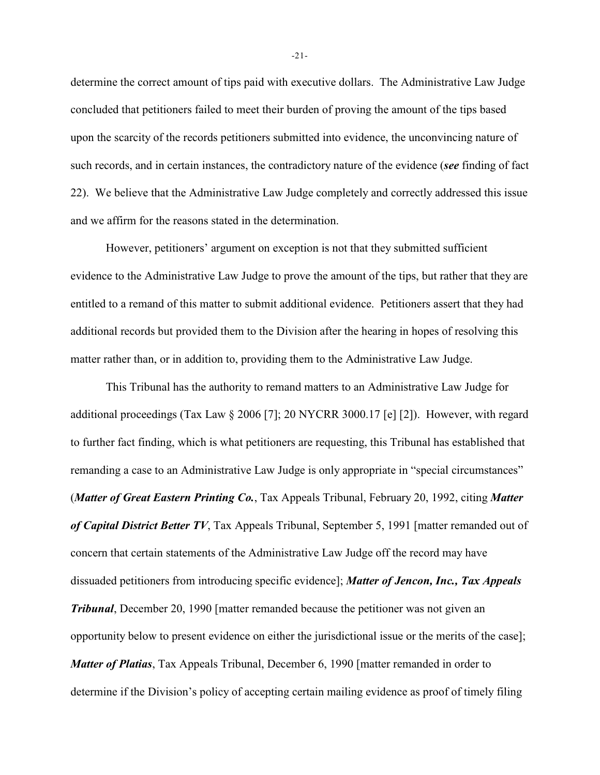determine the correct amount of tips paid with executive dollars. The Administrative Law Judge concluded that petitioners failed to meet their burden of proving the amount of the tips based upon the scarcity of the records petitioners submitted into evidence, the unconvincing nature of such records, and in certain instances, the contradictory nature of the evidence (*see* finding of fact 22). We believe that the Administrative Law Judge completely and correctly addressed this issue and we affirm for the reasons stated in the determination.

However, petitioners' argument on exception is not that they submitted sufficient evidence to the Administrative Law Judge to prove the amount of the tips, but rather that they are entitled to a remand of this matter to submit additional evidence. Petitioners assert that they had additional records but provided them to the Division after the hearing in hopes of resolving this matter rather than, or in addition to, providing them to the Administrative Law Judge.

This Tribunal has the authority to remand matters to an Administrative Law Judge for additional proceedings (Tax Law § 2006 [7]; 20 NYCRR 3000.17 [e] [2]). However, with regard to further fact finding, which is what petitioners are requesting, this Tribunal has established that remanding a case to an Administrative Law Judge is only appropriate in "special circumstances" (*Matter of Great Eastern Printing Co.*, Tax Appeals Tribunal, February 20, 1992, citing *Matter of Capital District Better TV*, Tax Appeals Tribunal, September 5, 1991 [matter remanded out of concern that certain statements of the Administrative Law Judge off the record may have dissuaded petitioners from introducing specific evidence]; *Matter of Jencon, Inc., Tax Appeals Tribunal*, December 20, 1990 [matter remanded because the petitioner was not given an opportunity below to present evidence on either the jurisdictional issue or the merits of the case]; *Matter of Platias*, Tax Appeals Tribunal, December 6, 1990 [matter remanded in order to determine if the Division's policy of accepting certain mailing evidence as proof of timely filing

-21-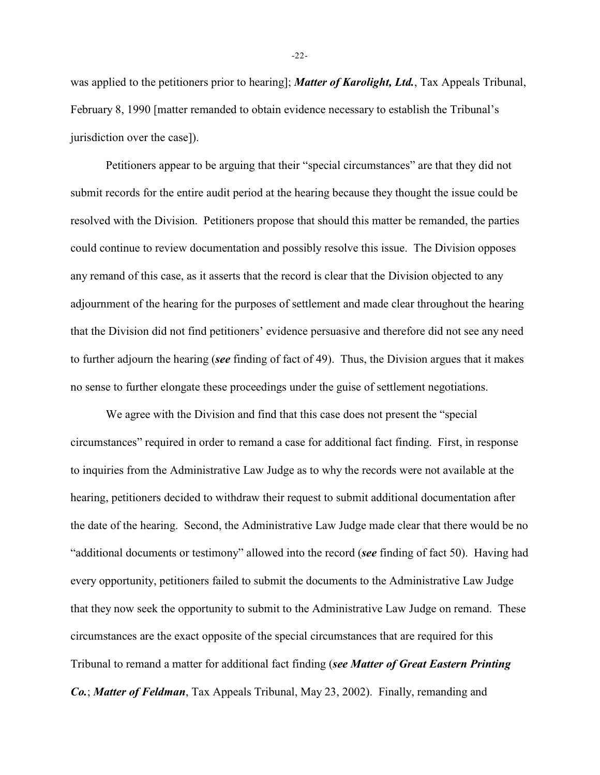was applied to the petitioners prior to hearing]; *Matter of Karolight, Ltd.*, Tax Appeals Tribunal, February 8, 1990 [matter remanded to obtain evidence necessary to establish the Tribunal's jurisdiction over the case]).

Petitioners appear to be arguing that their "special circumstances" are that they did not submit records for the entire audit period at the hearing because they thought the issue could be resolved with the Division. Petitioners propose that should this matter be remanded, the parties could continue to review documentation and possibly resolve this issue. The Division opposes any remand of this case, as it asserts that the record is clear that the Division objected to any adjournment of the hearing for the purposes of settlement and made clear throughout the hearing that the Division did not find petitioners' evidence persuasive and therefore did not see any need to further adjourn the hearing (*see* finding of fact of 49). Thus, the Division argues that it makes no sense to further elongate these proceedings under the guise of settlement negotiations.

We agree with the Division and find that this case does not present the "special circumstances" required in order to remand a case for additional fact finding. First, in response to inquiries from the Administrative Law Judge as to why the records were not available at the hearing, petitioners decided to withdraw their request to submit additional documentation after the date of the hearing. Second, the Administrative Law Judge made clear that there would be no "additional documents or testimony" allowed into the record (*see* finding of fact 50). Having had every opportunity, petitioners failed to submit the documents to the Administrative Law Judge that they now seek the opportunity to submit to the Administrative Law Judge on remand. These circumstances are the exact opposite of the special circumstances that are required for this Tribunal to remand a matter for additional fact finding (*see Matter of Great Eastern Printing Co.*; *Matter of Feldman*, Tax Appeals Tribunal, May 23, 2002). Finally, remanding and

-22-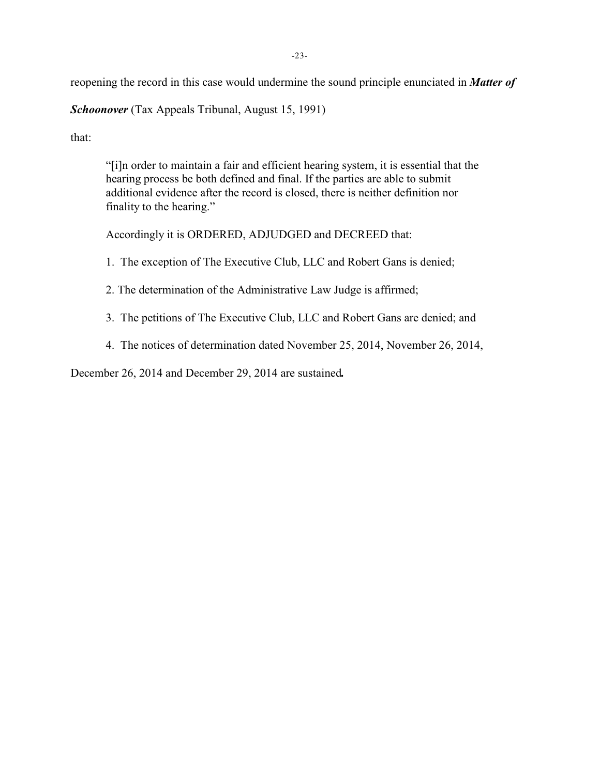reopening the record in this case would undermine the sound principle enunciated in *Matter of*

*Schoonover* (Tax Appeals Tribunal, August 15, 1991)

that:

"[i]n order to maintain a fair and efficient hearing system, it is essential that the hearing process be both defined and final. If the parties are able to submit additional evidence after the record is closed, there is neither definition nor finality to the hearing."

Accordingly it is ORDERED, ADJUDGED and DECREED that:

- 1. The exception of The Executive Club, LLC and Robert Gans is denied;
- 2. The determination of the Administrative Law Judge is affirmed;
- 3. The petitions of The Executive Club, LLC and Robert Gans are denied; and
- 4. The notices of determination dated November 25, 2014, November 26, 2014,

December 26, 2014 and December 29, 2014 are sustained*.*